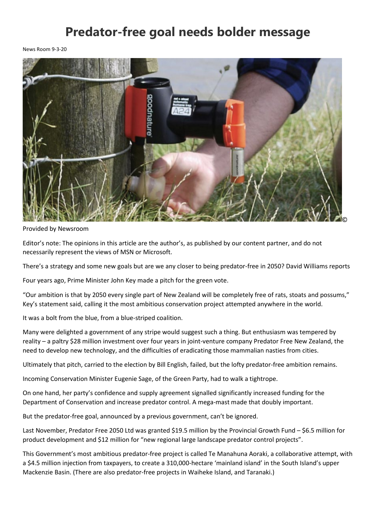## **Predator-free goal needs bolder message**

News Room 9-3-20



Provided by Newsroom

Editor's note: The opinions in this article are the author's, as published by our content partner, and do not necessarily represent the views of MSN or Microsoft.

There's a strategy and some new goals but are we any closer to being predator-free in 2050? David Williams reports

Four years ago, Prime Minister John Key made a pitch for the green vote.

"Our ambition is that by 2050 every single part of New Zealand will be completely free of rats, stoats and possums," Key's statement said, calling it the most ambitious conservation project attempted anywhere in the world.

It was a bolt from the blue, from a blue-striped coalition.

Many were delighted a government of any stripe would suggest such a thing. But enthusiasm was tempered by reality – a paltry \$28 million investment over four years in joint-venture company Predator Free New Zealand, the need to develop new technology, and the difficulties of eradicating those mammalian nasties from cities.

Ultimately that pitch, carried to the election by Bill English, failed, but the lofty predator-free ambition remains.

Incoming Conservation Minister Eugenie Sage, of the Green Party, had to walk a tightrope.

On one hand, her party's confidence and supply agreement signalle[d significantly increased funding](https://www.newsroom.co.nz/2018/05/21/110429/doc-can-thrive-again-conservation-minister) for the Department of Conservation and increase predator control. [A mega-mast](https://www.newsroom.co.nz/2019/11/26/919747/rat-aclysm-tests-forest-defences) made that doubly important.

But the predator-free goal, announced by a previous government, can't be ignored.

Last November, Predator Free 2050 Ltd was granted \$19.5 million by the Provincial Growth Fund – \$6.5 million for product development and \$12 million for "new regional large landscape predator control projects".

This Government's most ambitious predator-free project is called Te Manahuna Aoraki, a collaborative attempt, with a \$4.5 million injection from taxpayers, to create a 310,000-hectare 'mainland island' in the South Island's upper Mackenzie Basin. (There are also predator-free projects in Waiheke Island, and Taranaki.)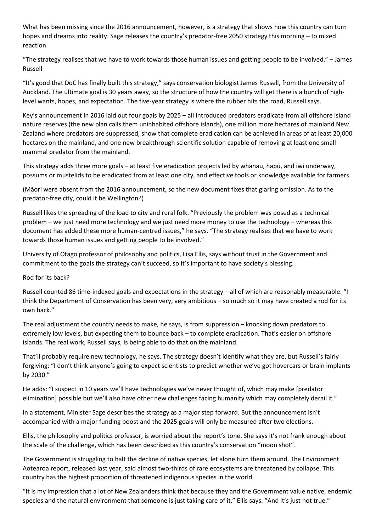What has been missing since the 2016 announcement, however, is a strategy that shows how this country can turn hopes and dreams into reality. Sage releases the country's predator-free 2050 strategy this morning – to mixed reaction.

"The strategy realises that we have to work towards those human issues and getting people to be involved." – James Russell

"It's good that DoC has finally built this strategy," says conservation biologist James Russell, from the University of Auckland. The ultimate goal is 30 years away, so the structure of how the country will get there is a bunch of highlevel wants, hopes, and expectation. The five-year strategy is where the rubber hits the road, Russell says.

Key's announcement in 2016 laid out four goals by 2025 – all introduced predators eradicate from all offshore island nature reserves (the new plan calls them uninhabited offshore islands), one million more hectares of mainland New Zealand where predators are suppressed, show that complete eradication can be achieved in areas of at least 20,000 hectares on the mainland, and one new breakthrough scientific solution capable of removing at least one small mammal predator from the mainland.

This strategy adds three more goals – at least five eradication projects led by whānau, hapū, and iwi underway, possums or mustelids to be eradicated from at least one city, and effective tools or knowledge available for farmers.

(Māori were absent from the 2016 announcement, so the new document fixes that glaring omission. As to the predator-free city, could it be [Wellington?](https://www.newsroom.co.nz/viewingroom/2018/05/08/107400/capital-punishment-for-pests))

Russell likes the spreading of the load to city and rural folk. "Previously the problem was posed as a technical problem – we just need more technology and we just need more money to use the technology – whereas this document has added these more human-centred issues," he says. "The strategy realises that we have to work towards those human issues and getting people to be involved."

University of Otago professor of philosophy and politics, Lisa Ellis, says without trust in the Government and commitment to the goals the strategy can't succeed, so it's important to have society's blessing.

## Rod for its back?

Russell counted 86 time-indexed goals and expectations in the strategy – all of which are reasonably measurable. "I think the Department of Conservation has been very, very ambitious – so much so it may have created a rod for its own back."

The real adjustment the country needs to make, he says, is from suppression – knocking down predators to extremely low levels, but expecting them to bounce back – to complete eradication. That's easier on offshore islands. The real work, Russell says, is being able to do that on the mainland.

That'll probably require new technology, he says. The strategy doesn't identify what they are, but Russell's fairly forgiving: "I don't think anyone's going to expect scientists to predict whether we've got hovercars or brain implants by 2030."

He adds: "I suspect in 10 years we'll have technologies we've never thought of, which may make [predator elimination] possible but we'll also have other new challenges facing humanity which may completely derail it."

In a statement, Minister Sage describes the strategy as a major step forward. But the announcement isn't accompanied with a major funding boost and the 2025 goals will only be measured after two elections.

Ellis, the philosophy and politics professor, is worried about the report's tone. She says it's not frank enough about the scale of the challenge, which has been described as this country's conservation "moon shot".

The Government is struggling to halt the decline of native species, let alone turn them around. The Environment Aotearoa report[, released last year,](https://www.newsroom.co.nz/2019/04/18/541801/report-biodiversity-on-the-brink) said almost two-thirds of rare ecosystems are threatened by collapse. This country has the highest proportion of threatened indigenous species in the world.

"It is my impression that a lot of New Zealanders think that because they and the Government value native, endemic species and the natural environment that someone is just taking care of it," Ellis says. "And it's just not true."